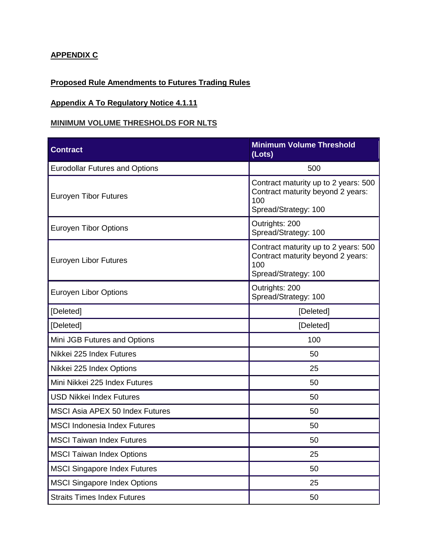## **APPENDIX C**

## **Proposed Rule Amendments to Futures Trading Rules**

## **Appendix A To Regulatory Notice 4.1.11**

#### **MINIMUM VOLUME THRESHOLDS FOR NLTS**

| <b>Contract</b>                        | <b>Minimum Volume Threshold</b><br>(Lots)                                                                |
|----------------------------------------|----------------------------------------------------------------------------------------------------------|
| <b>Eurodollar Futures and Options</b>  | 500                                                                                                      |
| <b>Euroyen Tibor Futures</b>           | Contract maturity up to 2 years: 500<br>Contract maturity beyond 2 years:<br>100<br>Spread/Strategy: 100 |
| <b>Euroyen Tibor Options</b>           | Outrights: 200<br>Spread/Strategy: 100                                                                   |
| Euroyen Libor Futures                  | Contract maturity up to 2 years: 500<br>Contract maturity beyond 2 years:<br>100<br>Spread/Strategy: 100 |
| Euroyen Libor Options                  | Outrights: 200<br>Spread/Strategy: 100                                                                   |
| [Deleted]                              | [Deleted]                                                                                                |
| [Deleted]                              | [Deleted]                                                                                                |
| Mini JGB Futures and Options           | 100                                                                                                      |
| Nikkei 225 Index Futures               | 50                                                                                                       |
| Nikkei 225 Index Options               | 25                                                                                                       |
| Mini Nikkei 225 Index Futures          | 50                                                                                                       |
| <b>USD Nikkei Index Futures</b>        | 50                                                                                                       |
| <b>MSCI Asia APEX 50 Index Futures</b> | 50                                                                                                       |
| <b>MSCI Indonesia Index Futures</b>    | 50                                                                                                       |
| <b>MSCI Taiwan Index Futures</b>       | 50                                                                                                       |
| <b>MSCI Taiwan Index Options</b>       | 25                                                                                                       |
| <b>MSCI Singapore Index Futures</b>    | 50                                                                                                       |
| <b>MSCI Singapore Index Options</b>    | 25                                                                                                       |
| <b>Straits Times Index Futures</b>     | 50                                                                                                       |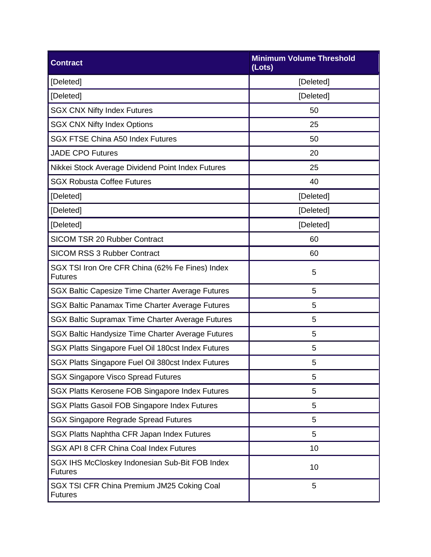| <b>Contract</b>                                                   | <b>Minimum Volume Threshold</b><br>(Lots) |  |
|-------------------------------------------------------------------|-------------------------------------------|--|
| [Deleted]                                                         | [Deleted]                                 |  |
| [Deleted]                                                         | [Deleted]                                 |  |
| <b>SGX CNX Nifty Index Futures</b>                                | 50                                        |  |
| <b>SGX CNX Nifty Index Options</b>                                | 25                                        |  |
| <b>SGX FTSE China A50 Index Futures</b>                           | 50                                        |  |
| <b>JADE CPO Futures</b>                                           | 20                                        |  |
| Nikkei Stock Average Dividend Point Index Futures                 | 25                                        |  |
| <b>SGX Robusta Coffee Futures</b>                                 | 40                                        |  |
| [Deleted]                                                         | [Deleted]                                 |  |
| [Deleted]                                                         | [Deleted]                                 |  |
| [Deleted]                                                         | [Deleted]                                 |  |
| <b>SICOM TSR 20 Rubber Contract</b>                               | 60                                        |  |
| <b>SICOM RSS 3 Rubber Contract</b>                                | 60                                        |  |
| SGX TSI Iron Ore CFR China (62% Fe Fines) Index<br><b>Futures</b> | 5                                         |  |
| SGX Baltic Capesize Time Charter Average Futures                  | 5                                         |  |
| SGX Baltic Panamax Time Charter Average Futures                   | 5                                         |  |
| <b>SGX Baltic Supramax Time Charter Average Futures</b>           | 5                                         |  |
| SGX Baltic Handysize Time Charter Average Futures                 | 5                                         |  |
| SGX Platts Singapore Fuel Oil 180cst Index Futures                | 5                                         |  |
| SGX Platts Singapore Fuel Oil 380cst Index Futures                | 5                                         |  |
| <b>SGX Singapore Visco Spread Futures</b>                         | 5                                         |  |
| SGX Platts Kerosene FOB Singapore Index Futures                   | 5                                         |  |
| SGX Platts Gasoil FOB Singapore Index Futures                     | 5                                         |  |
| <b>SGX Singapore Regrade Spread Futures</b>                       | 5                                         |  |
| SGX Platts Naphtha CFR Japan Index Futures                        | 5                                         |  |
| SGX API 8 CFR China Coal Index Futures                            | 10                                        |  |
| SGX IHS McCloskey Indonesian Sub-Bit FOB Index<br><b>Futures</b>  | 10                                        |  |
| SGX TSI CFR China Premium JM25 Coking Coal<br><b>Futures</b>      | 5                                         |  |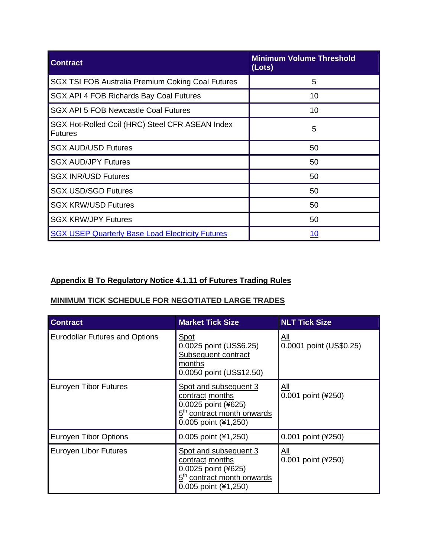| <b>Contract</b>                                                   | <b>Minimum Volume Threshold</b><br>(Lots) |
|-------------------------------------------------------------------|-------------------------------------------|
| <b>SGX TSI FOB Australia Premium Coking Coal Futures</b>          | 5                                         |
| SGX API 4 FOB Richards Bay Coal Futures                           | 10                                        |
| <b>SGX API 5 FOB Newcastle Coal Futures</b>                       | 10                                        |
| SGX Hot-Rolled Coil (HRC) Steel CFR ASEAN Index<br><b>Futures</b> | 5                                         |
| <b>SGX AUD/USD Futures</b>                                        | 50                                        |
| <b>SGX AUD/JPY Futures</b>                                        | 50                                        |
| <b>SGX INR/USD Futures</b>                                        | 50                                        |
| <b>SGX USD/SGD Futures</b>                                        | 50                                        |
| <b>SGX KRW/USD Futures</b>                                        | 50                                        |
| <b>SGX KRW/JPY Futures</b>                                        | 50                                        |
| <b>SGX USEP Quarterly Base Load Electricity Futures</b>           | <u> 10</u>                                |

# **Appendix B To Regulatory Notice 4.1.11 of Futures Trading Rules**

## **MINIMUM TICK SCHEDULE FOR NEGOTIATED LARGE TRADES**

| <b>Contract</b>                       | <b>Market Tick Size</b>                                                                                                           | <b>NLT Tick Size</b>                 |
|---------------------------------------|-----------------------------------------------------------------------------------------------------------------------------------|--------------------------------------|
| <b>Eurodollar Futures and Options</b> | <u>Spot</u><br>0.0025 point (US\$6.25)<br>Subsequent contract<br>months<br>0.0050 point (US\$12.50)                               | <u>АШ</u><br>0.0001 point (US\$0.25) |
| <b>Euroyen Tibor Futures</b>          | Spot and subsequent 3<br>contract months<br>0.0025 point (¥625)<br>5 <sup>th</sup> contract month onwards<br>0.005 point (¥1,250) | <u>All</u><br>0.001 point (¥250)     |
| <b>Euroyen Tibor Options</b>          | $0.005$ point $(41,250)$                                                                                                          | 0.001 point (¥250)                   |
| Euroyen Libor Futures                 | Spot and subsequent 3<br>contract months<br>0.0025 point (¥625)<br>5 <sup>th</sup> contract month onwards<br>0.005 point (¥1,250) | <u>All</u><br>0.001 point (¥250)     |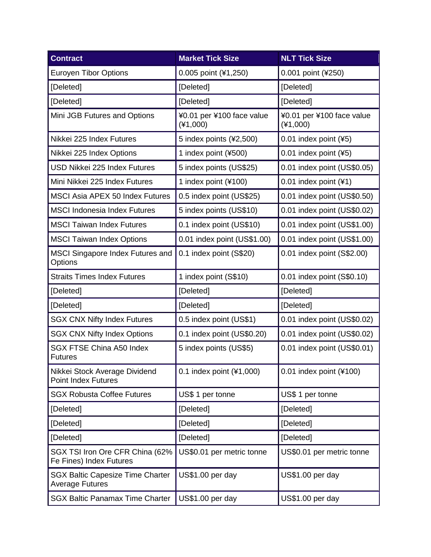| <b>Contract</b>                                                   | <b>Market Tick Size</b>                 | <b>NLT Tick Size</b>                    |
|-------------------------------------------------------------------|-----------------------------------------|-----------------------------------------|
| <b>Euroyen Tibor Options</b>                                      | 0.005 point (¥1,250)                    | 0.001 point (¥250)                      |
| [Deleted]                                                         | [Deleted]                               | [Deleted]                               |
| [Deleted]                                                         | [Deleted]                               | [Deleted]                               |
| Mini JGB Futures and Options                                      | ¥0.01 per ¥100 face value<br>$(*1,000)$ | ¥0.01 per ¥100 face value<br>$(*1,000)$ |
| Nikkei 225 Index Futures                                          | 5 index points (¥2,500)                 | 0.01 index point (¥5)                   |
| Nikkei 225 Index Options                                          | 1 index point (¥500)                    | 0.01 index point (¥5)                   |
| <b>USD Nikkei 225 Index Futures</b>                               | 5 index points (US\$25)                 | 0.01 index point (US\$0.05)             |
| Mini Nikkei 225 Index Futures                                     | 1 index point (¥100)                    | 0.01 index point $(41)$                 |
| <b>MSCI Asia APEX 50 Index Futures</b>                            | 0.5 index point (US\$25)                | 0.01 index point (US\$0.50)             |
| <b>MSCI Indonesia Index Futures</b>                               | 5 index points (US\$10)                 | 0.01 index point (US\$0.02)             |
| <b>MSCI Taiwan Index Futures</b>                                  | 0.1 index point (US\$10)                | 0.01 index point (US\$1.00)             |
| <b>MSCI Taiwan Index Options</b>                                  | 0.01 index point (US\$1.00)             | 0.01 index point (US\$1.00)             |
| <b>MSCI Singapore Index Futures and</b><br>Options                | 0.1 index point (S\$20)                 | 0.01 index point (S\$2.00)              |
| <b>Straits Times Index Futures</b>                                | 1 index point (S\$10)                   | 0.01 index point (S\$0.10)              |
| [Deleted]                                                         | [Deleted]                               | [Deleted]                               |
| [Deleted]                                                         | [Deleted]                               | [Deleted]                               |
| <b>SGX CNX Nifty Index Futures</b>                                | 0.5 index point (US\$1)                 | 0.01 index point (US\$0.02)             |
| <b>SGX CNX Nifty Index Options</b>                                | 0.1 index point (US\$0.20)              | 0.01 index point (US\$0.02)             |
| <b>SGX FTSE China A50 Index</b><br><b>Futures</b>                 | 5 index points (US\$5)                  | 0.01 index point (US\$0.01)             |
| Nikkei Stock Average Dividend<br><b>Point Index Futures</b>       | 0.1 index point (¥1,000)                | 0.01 index point $(*100)$               |
| <b>SGX Robusta Coffee Futures</b>                                 | US\$ 1 per tonne                        | US\$ 1 per tonne                        |
| [Deleted]                                                         | [Deleted]                               | [Deleted]                               |
| [Deleted]                                                         | [Deleted]                               | [Deleted]                               |
| [Deleted]                                                         | [Deleted]                               | [Deleted]                               |
| SGX TSI Iron Ore CFR China (62%<br>Fe Fines) Index Futures        | US\$0.01 per metric tonne               | US\$0.01 per metric tonne               |
| <b>SGX Baltic Capesize Time Charter</b><br><b>Average Futures</b> | US\$1.00 per day                        | US\$1.00 per day                        |
| <b>SGX Baltic Panamax Time Charter</b>                            | US\$1.00 per day                        | US\$1.00 per day                        |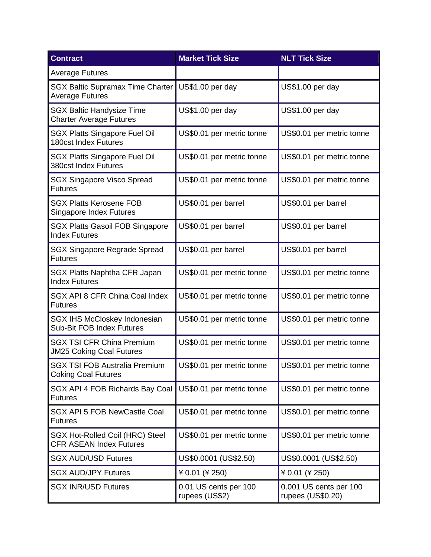| <b>Contract</b>                                                     | <b>Market Tick Size</b>                 | <b>NLT Tick Size</b>                        |
|---------------------------------------------------------------------|-----------------------------------------|---------------------------------------------|
| <b>Average Futures</b>                                              |                                         |                                             |
| <b>SGX Baltic Supramax Time Charter</b><br><b>Average Futures</b>   | US\$1.00 per day                        | US\$1.00 per day                            |
| <b>SGX Baltic Handysize Time</b><br><b>Charter Average Futures</b>  | US\$1.00 per day                        | US\$1.00 per day                            |
| <b>SGX Platts Singapore Fuel Oil</b><br><b>180cst Index Futures</b> | US\$0.01 per metric tonne               | US\$0.01 per metric tonne                   |
| <b>SGX Platts Singapore Fuel Oil</b><br>380cst Index Futures        | US\$0.01 per metric tonne               | US\$0.01 per metric tonne                   |
| <b>SGX Singapore Visco Spread</b><br><b>Futures</b>                 | US\$0.01 per metric tonne               | US\$0.01 per metric tonne                   |
| <b>SGX Platts Kerosene FOB</b><br><b>Singapore Index Futures</b>    | US\$0.01 per barrel                     | US\$0.01 per barrel                         |
| <b>SGX Platts Gasoil FOB Singapore</b><br><b>Index Futures</b>      | US\$0.01 per barrel                     | US\$0.01 per barrel                         |
| SGX Singapore Regrade Spread<br><b>Futures</b>                      | US\$0.01 per barrel                     | US\$0.01 per barrel                         |
| SGX Platts Naphtha CFR Japan<br><b>Index Futures</b>                | US\$0.01 per metric tonne               | US\$0.01 per metric tonne                   |
| SGX API 8 CFR China Coal Index<br><b>Futures</b>                    | US\$0.01 per metric tonne               | US\$0.01 per metric tonne                   |
| SGX IHS McCloskey Indonesian<br>Sub-Bit FOB Index Futures           | US\$0.01 per metric tonne               | US\$0.01 per metric tonne                   |
| <b>SGX TSI CFR China Premium</b><br><b>JM25 Coking Coal Futures</b> | US\$0.01 per metric tonne               | US\$0.01 per metric tonne                   |
| <b>SGX TSI FOB Australia Premium</b><br><b>Coking Coal Futures</b>  | US\$0.01 per metric tonne               | US\$0.01 per metric tonne                   |
| SGX API 4 FOB Richards Bay Coal<br><b>Futures</b>                   | US\$0.01 per metric tonne               | US\$0.01 per metric tonne                   |
| <b>SGX API 5 FOB NewCastle Coal</b><br><b>Futures</b>               | US\$0.01 per metric tonne               | US\$0.01 per metric tonne                   |
| SGX Hot-Rolled Coil (HRC) Steel<br><b>CFR ASEAN Index Futures</b>   | US\$0.01 per metric tonne               | US\$0.01 per metric tonne                   |
| <b>SGX AUD/USD Futures</b>                                          | US\$0.0001 (US\$2.50)                   | US\$0.0001 (US\$2.50)                       |
| <b>SGX AUD/JPY Futures</b>                                          | ¥ 0.01 (¥ 250)                          | ¥ 0.01 (¥ 250)                              |
| <b>SGX INR/USD Futures</b>                                          | 0.01 US cents per 100<br>rupees (US\$2) | 0.001 US cents per 100<br>rupees (US\$0.20) |